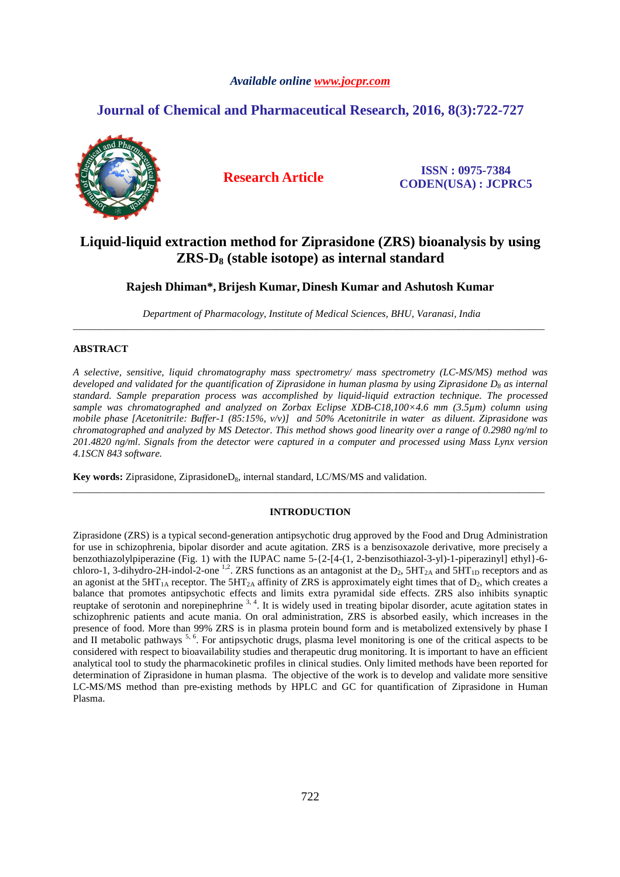# *Available online www.jocpr.com*

# **Journal of Chemical and Pharmaceutical Research, 2016, 8(3):722-727**



**Research Article ISSN : 0975-7384 CODEN(USA) : JCPRC5**

# **Liquid-liquid extraction method for Ziprasidone (ZRS) bioanalysis by using ZRS-D8 (stable isotope) as internal standard**

# **Rajesh Dhiman\*, Brijesh Kumar, Dinesh Kumar and Ashutosh Kumar**

 *Department of Pharmacology, Institute of Medical Sciences, BHU, Varanasi, India*  \_\_\_\_\_\_\_\_\_\_\_\_\_\_\_\_\_\_\_\_\_\_\_\_\_\_\_\_\_\_\_\_\_\_\_\_\_\_\_\_\_\_\_\_\_\_\_\_\_\_\_\_\_\_\_\_\_\_\_\_\_\_\_\_\_\_\_\_\_\_\_\_\_\_\_\_\_\_\_\_\_\_\_\_\_\_\_\_\_\_\_\_\_

# **ABSTRACT**

*A selective, sensitive, liquid chromatography mass spectrometry/ mass spectrometry (LC-MS/MS) method was developed and validated for the quantification of Ziprasidone in human plasma by using Ziprasidone D8 as internal standard. Sample preparation process was accomplished by liquid-liquid extraction technique. The processed sample was chromatographed and analyzed on Zorbax Eclipse XDB-C18,100×4.6 mm (3.5µm) column using mobile phase [Acetonitrile: Buffer-1 (85:15%, v/v)] and 50% Acetonitrile in water as diluent. Ziprasidone was chromatographed and analyzed by MS Detector. This method shows good linearity over a range of 0.2980 ng/ml to 201.4820 ng/ml. Signals from the detector were captured in a computer and processed using Mass Lynx version 4.1SCN 843 software.* 

**Key words:** Ziprasidone, ZiprasidoneD<sub>8</sub>, internal standard, LC/MS/MS and validation.

# **INTRODUCTION**

\_\_\_\_\_\_\_\_\_\_\_\_\_\_\_\_\_\_\_\_\_\_\_\_\_\_\_\_\_\_\_\_\_\_\_\_\_\_\_\_\_\_\_\_\_\_\_\_\_\_\_\_\_\_\_\_\_\_\_\_\_\_\_\_\_\_\_\_\_\_\_\_\_\_\_\_\_\_\_\_\_\_\_\_\_\_\_\_\_\_\_\_\_

Ziprasidone (ZRS) is a typical second-generation antipsychotic drug approved by the Food and Drug Administration for use in schizophrenia, bipolar disorder and acute agitation. ZRS is a benzisoxazole derivative, more precisely a benzothiazolylpiperazine (Fig. 1) with the IUPAC name 5-{2-[4-(1, 2-benzisothiazol-3-yl)-1-piperazinyl] ethyl}-6 chloro-1, 3-dihydro-2H-indol-2-one <sup>1,2</sup>. ZRS functions as an antagonist at the D<sub>2</sub>,  $5HT_{2A}$  and  $5HT_{1D}$  receptors and as an agonist at the  $5HT_{1A}$  receptor. The  $5HT_{2A}$  affinity of ZRS is approximately eight times that of  $D_2$ , which creates a balance that promotes antipsychotic effects and limits extra pyramidal side effects. ZRS also inhibits synaptic reuptake of serotonin and norepinephrine <sup>3, 4</sup>. It is widely used in treating bipolar disorder, acute agitation states in schizophrenic patients and acute mania. On oral administration, ZRS is absorbed easily, which increases in the presence of food. More than 99% ZRS is in plasma protein bound form and is metabolized extensively by phase I and II metabolic pathways  $^{5, 6}$ . For antipsychotic drugs, plasma level monitoring is one of the critical aspects to be considered with respect to bioavailability studies and therapeutic drug monitoring. It is important to have an efficient analytical tool to study the pharmacokinetic profiles in clinical studies. Only limited methods have been reported for determination of Ziprasidone in human plasma. The objective of the work is to develop and validate more sensitive LC-MS/MS method than pre-existing methods by HPLC and GC for quantification of Ziprasidone in Human Plasma.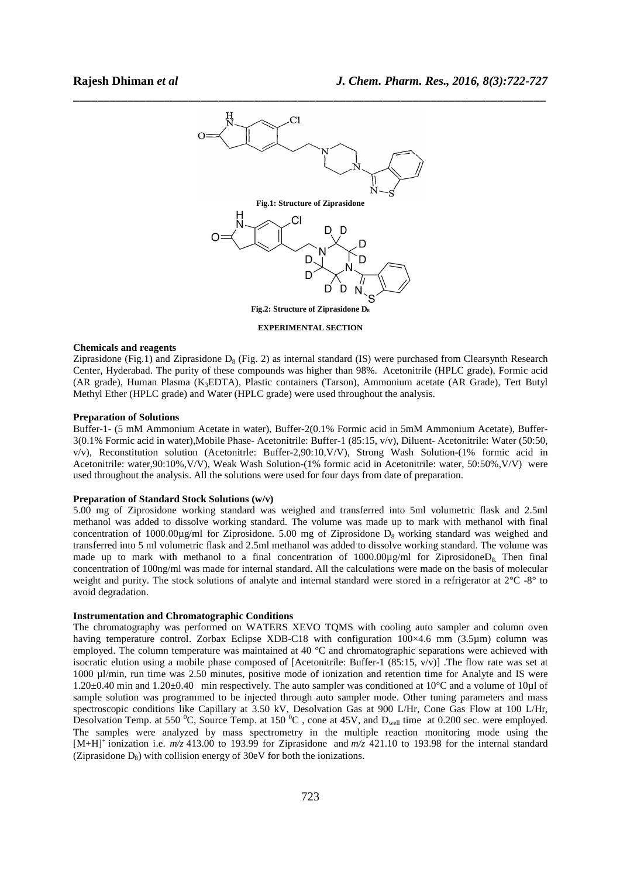

**EXPERIMENTAL SECTION** 

# **Chemicals and reagents**

Ziprasidone (Fig.1) and Ziprasidone  $D_8$  (Fig. 2) as internal standard (IS) were purchased from Clearsynth Research Center, Hyderabad. The purity of these compounds was higher than 98%. Acetonitrile (HPLC grade), Formic acid (AR grade), Human Plasma (K3EDTA), Plastic containers (Tarson), Ammonium acetate (AR Grade), Tert Butyl Methyl Ether (HPLC grade) and Water (HPLC grade) were used throughout the analysis.

#### **Preparation of Solutions**

Buffer-1- (5 mM Ammonium Acetate in water), Buffer-2(0.1% Formic acid in 5mM Ammonium Acetate), Buffer-3(0.1% Formic acid in water),Mobile Phase- Acetonitrile: Buffer-1 (85:15, v/v), Diluent- Acetonitrile: Water (50:50, v/v), Reconstitution solution (Acetonitrle: Buffer-2,90:10,V/V), Strong Wash Solution-(1% formic acid in Acetonitrile: water,90:10%,V/V), Weak Wash Solution-(1% formic acid in Acetonitrile: water, 50:50%,V/V) were used throughout the analysis. All the solutions were used for four days from date of preparation.

#### **Preparation of Standard Stock Solutions (w/v)**

5.00 mg of Ziprosidone working standard was weighed and transferred into 5ml volumetric flask and 2.5ml methanol was added to dissolve working standard. The volume was made up to mark with methanol with final concentration of 1000.00 $\mu$ g/ml for Ziprosidone. 5.00 mg of Ziprosidone D<sub>8</sub> working standard was weighed and transferred into 5 ml volumetric flask and 2.5ml methanol was added to dissolve working standard. The volume was made up to mark with methanol to a final concentration of 1000.00µg/ml for ZiprosidoneD<sub>8</sub>. Then final concentration of 100ng/ml was made for internal standard. All the calculations were made on the basis of molecular weight and purity. The stock solutions of analyte and internal standard were stored in a refrigerator at  $2^{\circ}C$  -8° to avoid degradation.

#### **Instrumentation and Chromatographic Conditions**

The chromatography was performed on WATERS XEVO TQMS with cooling auto sampler and column oven having temperature control. Zorbax Eclipse XDB-C18 with configuration  $100\times4.6$  mm (3.5µm) column was employed. The column temperature was maintained at 40 °C and chromatographic separations were achieved with isocratic elution using a mobile phase composed of [Acetonitrile: Buffer-1  $(85:15, v/v)$ ] .The flow rate was set at 1000 µl/min, run time was 2.50 minutes, positive mode of ionization and retention time for Analyte and IS were 1.20 $\pm$ 0.40 min and 1.20 $\pm$ 0.40 min respectively. The auto sampler was conditioned at 10 $\degree$ C and a volume of 10 $\mu$ l of sample solution was programmed to be injected through auto sampler mode. Other tuning parameters and mass spectroscopic conditions like Capillary at 3.50 kV, Desolvation Gas at 900 L/Hr, Cone Gas Flow at 100 L/Hr, Desolvation Temp. at 550  $^0C$ , Source Temp. at 150  $^0C$ , cone at 45V, and D<sub>well</sub> time at 0.200 sec. were employed. The samples were analyzed by mass spectrometry in the multiple reaction monitoring mode using the  $[M+H]^+$  ionization i.e.  $m/z$  413.00 to 193.99 for Ziprasidone and  $m/z$  421.10 to 193.98 for the internal standard (Ziprasidone  $D_8$ ) with collision energy of 30eV for both the ionizations.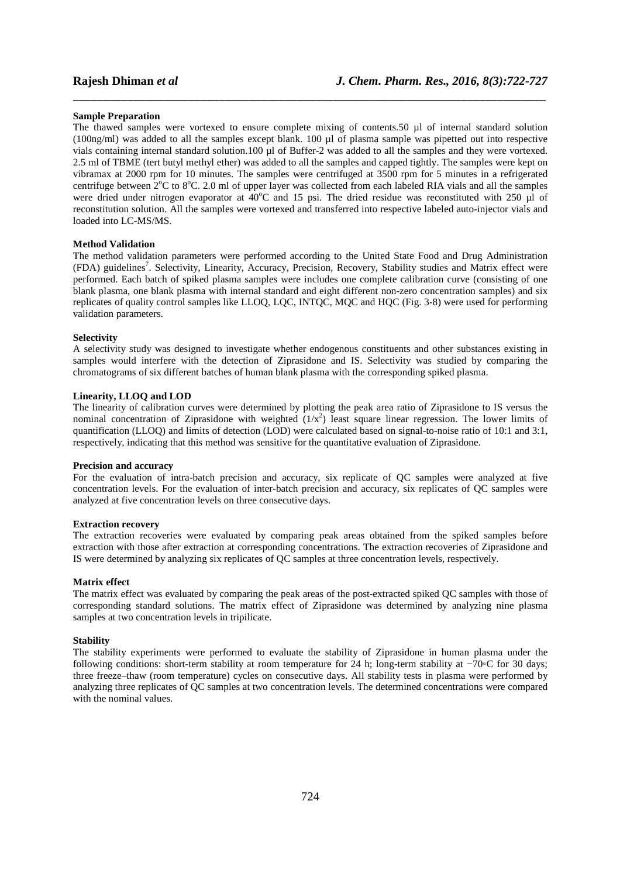#### **Sample Preparation**

The thawed samples were vortexed to ensure complete mixing of contents.50 µl of internal standard solution (100ng/ml) was added to all the samples except blank. 100 µl of plasma sample was pipetted out into respective vials containing internal standard solution.100 µl of Buffer-2 was added to all the samples and they were vortexed. 2.5 ml of TBME (tert butyl methyl ether) was added to all the samples and capped tightly. The samples were kept on vibramax at 2000 rpm for 10 minutes. The samples were centrifuged at 3500 rpm for 5 minutes in a refrigerated centrifuge between  $2^{\circ}$ C to  $8^{\circ}$ C. 2.0 ml of upper layer was collected from each labeled RIA vials and all the samples were dried under nitrogen evaporator at  $40^{\circ}$ C and 15 psi. The dried residue was reconstituted with 250 µl of reconstitution solution. All the samples were vortexed and transferred into respective labeled auto-injector vials and loaded into LC-MS/MS.

\_\_\_\_\_\_\_\_\_\_\_\_\_\_\_\_\_\_\_\_\_\_\_\_\_\_\_\_\_\_\_\_\_\_\_\_\_\_\_\_\_\_\_\_\_\_\_\_\_\_\_\_\_\_\_\_\_\_\_\_\_\_\_\_\_\_\_\_\_\_\_\_\_\_\_\_\_\_

# **Method Validation**

The method validation parameters were performed according to the United State Food and Drug Administration (FDA) guidelines<sup>7</sup>. Selectivity, Linearity, Accuracy, Precision, Recovery, Stability studies and Matrix effect were performed. Each batch of spiked plasma samples were includes one complete calibration curve (consisting of one blank plasma, one blank plasma with internal standard and eight different non-zero concentration samples) and six replicates of quality control samples like LLOQ, LQC, INTQC, MQC and HQC (Fig. 3-8) were used for performing validation parameters.

#### **Selectivity**

A selectivity study was designed to investigate whether endogenous constituents and other substances existing in samples would interfere with the detection of Ziprasidone and IS. Selectivity was studied by comparing the chromatograms of six different batches of human blank plasma with the corresponding spiked plasma.

### **Linearity, LLOQ and LOD**

The linearity of calibration curves were determined by plotting the peak area ratio of Ziprasidone to IS versus the nominal concentration of Ziprasidone with weighted  $(1/x^2)$  least square linear regression. The lower limits of quantification (LLOQ) and limits of detection (LOD) were calculated based on signal-to-noise ratio of 10:1 and 3:1, respectively, indicating that this method was sensitive for the quantitative evaluation of Ziprasidone.

#### **Precision and accuracy**

For the evaluation of intra-batch precision and accuracy, six replicate of QC samples were analyzed at five concentration levels. For the evaluation of inter-batch precision and accuracy, six replicates of QC samples were analyzed at five concentration levels on three consecutive days.

#### **Extraction recovery**

The extraction recoveries were evaluated by comparing peak areas obtained from the spiked samples before extraction with those after extraction at corresponding concentrations. The extraction recoveries of Ziprasidone and IS were determined by analyzing six replicates of QC samples at three concentration levels, respectively.

#### **Matrix effect**

The matrix effect was evaluated by comparing the peak areas of the post-extracted spiked QC samples with those of corresponding standard solutions. The matrix effect of Ziprasidone was determined by analyzing nine plasma samples at two concentration levels in tripilicate.

### **Stability**

The stability experiments were performed to evaluate the stability of Ziprasidone in human plasma under the following conditions: short-term stability at room temperature for 24 h; long-term stability at −70◦C for 30 days; three freeze–thaw (room temperature) cycles on consecutive days. All stability tests in plasma were performed by analyzing three replicates of QC samples at two concentration levels. The determined concentrations were compared with the nominal values.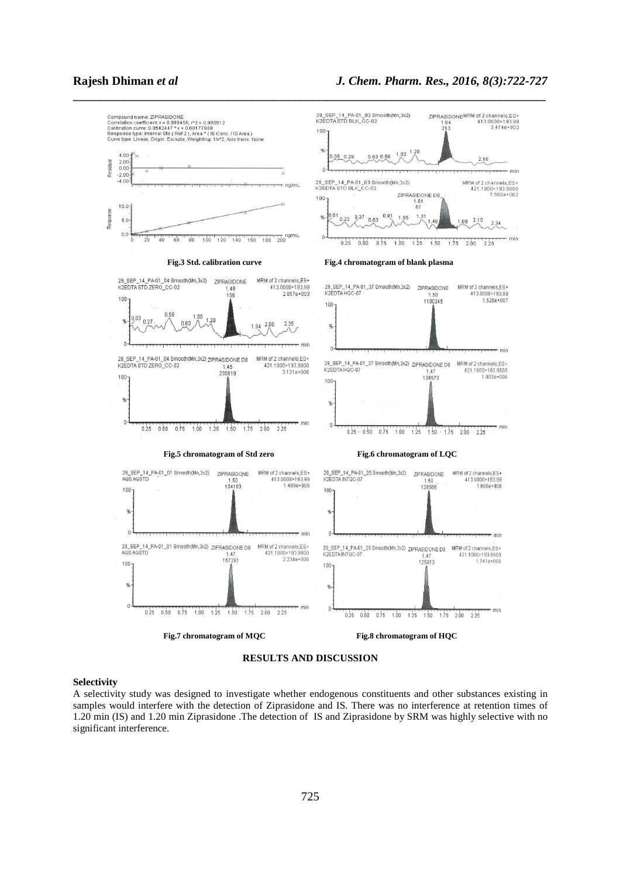



### **Selectivity**

A selectivity study was designed to investigate whether endogenous constituents and other substances existing in samples would interfere with the detection of Ziprasidone and IS. There was no interference at retention times of 1.20 min (IS) and 1.20 min Ziprasidone .The detection of IS and Ziprasidone by SRM was highly selective with no significant interference.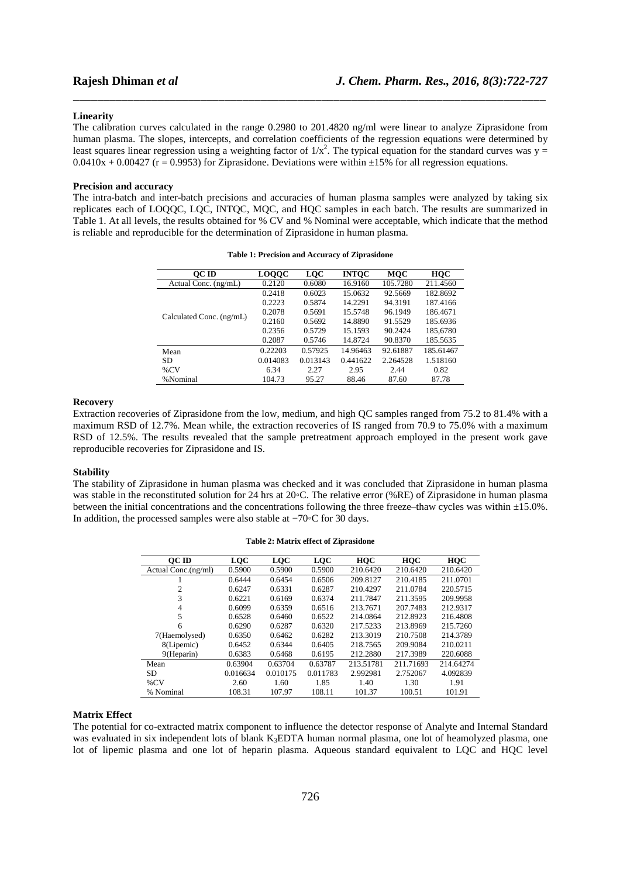### **Linearity**

The calibration curves calculated in the range 0.2980 to 201.4820 ng/ml were linear to analyze Ziprasidone from human plasma. The slopes, intercepts, and correlation coefficients of the regression equations were determined by least squares linear regression using a weighting factor of  $1/x^2$ . The typical equation for the standard curves was  $y =$  $0.0410x + 0.00427$  (r = 0.9953) for Ziprasidone. Deviations were within  $\pm 15\%$  for all regression equations.

\_\_\_\_\_\_\_\_\_\_\_\_\_\_\_\_\_\_\_\_\_\_\_\_\_\_\_\_\_\_\_\_\_\_\_\_\_\_\_\_\_\_\_\_\_\_\_\_\_\_\_\_\_\_\_\_\_\_\_\_\_\_\_\_\_\_\_\_\_\_\_\_\_\_\_\_\_\_

### **Precision and accuracy**

The intra-batch and inter-batch precisions and accuracies of human plasma samples were analyzed by taking six replicates each of LOQQC, LQC, INTQC, MQC, and HQC samples in each batch. The results are summarized in Table 1. At all levels, the results obtained for % CV and % Nominal were acceptable, which indicate that the method is reliable and reproducible for the determination of Ziprasidone in human plasma.

| OC ID                    | <b>LOQQC</b> | <b>LQC</b> | <b>INTOC</b> | <b>MQC</b> | HQC       |
|--------------------------|--------------|------------|--------------|------------|-----------|
| Actual Conc. (ng/mL)     | 0.2120       | 0.6080     | 16.9160      | 105.7280   | 211.4560  |
| Calculated Conc. (ng/mL) | 0.2418       | 0.6023     | 15.0632      | 92.5669    | 182.8692  |
|                          | 0.2223       | 0.5874     | 14.2291      | 94.3191    | 187.4166  |
|                          | 0.2078       | 0.5691     | 15.5748      | 96.1949    | 186.4671  |
|                          | 0.2160       | 0.5692     | 14.8890      | 91.5529    | 185.6936  |
|                          | 0.2356       | 0.5729     | 15.1593      | 90.2424    | 185,6780  |
|                          | 0.2087       | 0.5746     | 14.8724      | 90.8370    | 185.5635  |
| Mean                     | 0.22203      | 0.57925    | 14.96463     | 92.61887   | 185.61467 |
| SD.                      | 0.014083     | 0.013143   | 0.441622     | 2.264528   | 1.518160  |
| $\%$ CV                  | 6.34         | 2.27       | 2.95         | 2.44       | 0.82      |
| %Nominal                 | 104.73       | 95.27      | 88.46        | 87.60      | 87.78     |

# **Recovery**

Extraction recoveries of Ziprasidone from the low, medium, and high QC samples ranged from 75.2 to 81.4% with a maximum RSD of 12.7%. Mean while, the extraction recoveries of IS ranged from 70.9 to 75.0% with a maximum RSD of 12.5%. The results revealed that the sample pretreatment approach employed in the present work gave reproducible recoveries for Ziprasidone and IS.

### **Stability**

The stability of Ziprasidone in human plasma was checked and it was concluded that Ziprasidone in human plasma was stable in the reconstituted solution for 24 hrs at 20◦C. The relative error (%RE) of Ziprasidone in human plasma between the initial concentrations and the concentrations following the three freeze–thaw cycles was within  $\pm 15.0\%$ . In addition, the processed samples were also stable at −70◦C for 30 days.

| OC ID               | <b>LQC</b> | <b>LOC</b> | <b>LQC</b> | HQC       | <b>HQC</b> | <b>HQC</b> |
|---------------------|------------|------------|------------|-----------|------------|------------|
| Actual Conc.(ng/ml) | 0.5900     | 0.5900     | 0.5900     | 210.6420  | 210.6420   | 210.6420   |
|                     | 0.6444     | 0.6454     | 0.6506     | 209.8127  | 210.4185   | 211.0701   |
| 2                   | 0.6247     | 0.6331     | 0.6287     | 210.4297  | 211.0784   | 220.5715   |
| 3                   | 0.6221     | 0.6169     | 0.6374     | 211.7847  | 211.3595   | 209.9958   |
| 4                   | 0.6099     | 0.6359     | 0.6516     | 213.7671  | 207.7483   | 212.9317   |
| 5                   | 0.6528     | 0.6460     | 0.6522     | 214.0864  | 212.8923   | 216.4808   |
| 6                   | 0.6290     | 0.6287     | 0.6320     | 217.5233  | 213.8969   | 215.7260   |
| 7(Haemolysed)       | 0.6350     | 0.6462     | 0.6282     | 213.3019  | 210.7508   | 214.3789   |
| 8(Lipemic)          | 0.6452     | 0.6344     | 0.6405     | 218.7565  | 209.9084   | 210.0211   |
| 9(Heparin)          | 0.6383     | 0.6468     | 0.6195     | 212.2880  | 217.3989   | 220.6088   |
| Mean                | 0.63904    | 0.63704    | 0.63787    | 213.51781 | 211.71693  | 214.64274  |
| <b>SD</b>           | 0.016634   | 0.010175   | 0.011783   | 2.992981  | 2.752067   | 4.092839   |
| $\%$ CV             | 2.60       | 1.60       | 1.85       | 1.40      | 1.30       | 1.91       |
| % Nominal           | 108.31     | 107.97     | 108.11     | 101.37    | 100.51     | 101.91     |

**Table 2: Matrix effect of Ziprasidone** 

# **Matrix Effect**

The potential for co-extracted matrix component to influence the detector response of Analyte and Internal Standard was evaluated in six independent lots of blank K<sub>3</sub>EDTA human normal plasma, one lot of heamolyzed plasma, one lot of lipemic plasma and one lot of heparin plasma. Aqueous standard equivalent to LQC and HQC level